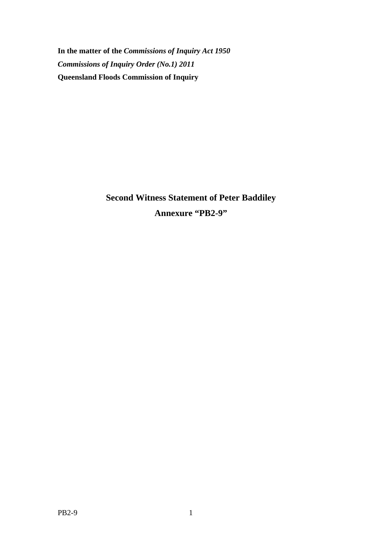**In the matter of the** *Commissions of Inquiry Act 1950 Commissions of Inquiry Order (No.1) 2011* **Queensland Floods Commission of Inquiry** 

> **Second Witness Statement of Peter Baddiley Annexure "PB2-9"**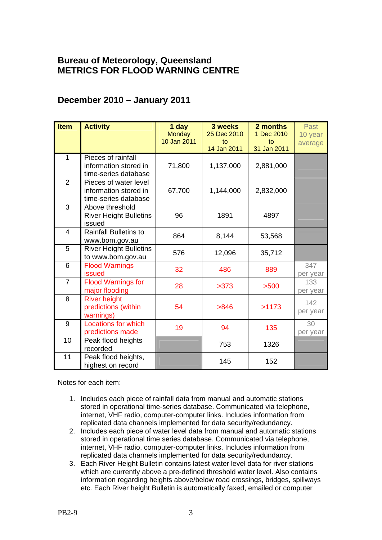## **Bureau of Meteorology, Queensland METRICS FOR FLOOD WARNING CENTRE**

## **December 2010 – January 2011**

| <b>Item</b>    | <b>Activity</b>               | 1 day         | 3 weeks     | 2 months    | Past     |
|----------------|-------------------------------|---------------|-------------|-------------|----------|
|                |                               | <b>Monday</b> | 25 Dec 2010 | 1 Dec 2010  | 10 year  |
|                |                               | 10 Jan 2011   | to          | to          |          |
|                |                               |               | 14 Jan 2011 | 31 Jan 2011 | average  |
| 1              | Pieces of rainfall            |               |             |             |          |
|                | information stored in         | 71,800        | 1,137,000   | 2,881,000   |          |
|                | time-series database          |               |             |             |          |
| $\overline{2}$ | Pieces of water level         |               |             |             |          |
|                | information stored in         | 67,700        | 1,144,000   | 2,832,000   |          |
|                | time-series database          |               |             |             |          |
| 3              | Above threshold               |               |             |             |          |
|                | <b>River Height Bulletins</b> | 96            | 1891        | 4897        |          |
|                | issued                        |               |             |             |          |
| $\overline{4}$ | <b>Rainfall Bulletins to</b>  | 864           | 8,144       | 53,568      |          |
|                | www.bom.gov.au                |               |             |             |          |
| 5              | <b>River Height Bulletins</b> | 576           | 12,096      | 35,712      |          |
|                | to www.bom.gov.au             |               |             |             |          |
| 6              | <b>Flood Warnings</b>         | 32            | 486         | 889         | 347      |
|                | <b>issued</b>                 |               |             |             | per year |
| $\overline{7}$ | <b>Flood Warnings for</b>     | 28            | >373        | >500        | 133      |
|                | major flooding                |               |             |             | per year |
| 8              | <b>River height</b>           |               |             |             | 142      |
|                | predictions (within           | 54            | >846        | >1173       | per year |
|                | warnings)                     |               |             |             |          |
| 9              | <b>Locations for which</b>    | 19            | 94          | 135         | 30       |
|                | predictions made              |               |             |             | per year |
| 10             | Peak flood heights            |               | 753         | 1326        |          |
|                | recorded                      |               |             |             |          |
| 11             | Peak flood heights,           |               | 145         | 152         |          |
|                | highest on record             |               |             |             |          |

Notes for each item:

- 1. Includes each piece of rainfall data from manual and automatic stations stored in operational time-series database. Communicated via telephone, internet, VHF radio, computer-computer links. Includes information from replicated data channels implemented for data security/redundancy.
- 2. Includes each piece of water level data from manual and automatic stations stored in operational time series database. Communicated via telephone, internet, VHF radio, computer-computer links. Includes information from replicated data channels implemented for data security/redundancy.
- 3. Each River Height Bulletin contains latest water level data for river stations which are currently above a pre-defined threshold water level. Also contains information regarding heights above/below road crossings, bridges, spillways etc. Each River height Bulletin is automatically faxed, emailed or computer